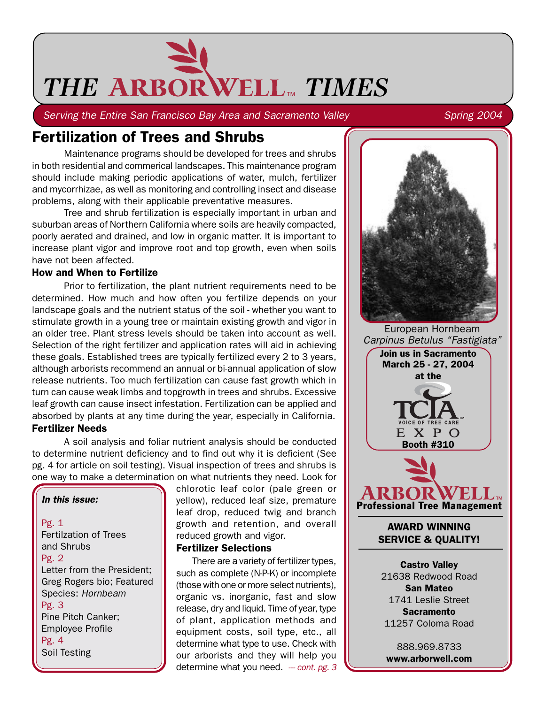

Serving the Entire San Francisco Bay Area and Sacramento Valley Sand Spring 2004

# Fertilization of Trees and Shrubs

Maintenance programs should be developed for trees and shrubs in both residential and commerical landscapes. This maintenance program should include making periodic applications of water, mulch, fertilizer and mycorrhizae, as well as monitoring and controlling insect and disease problems, along with their applicable preventative measures.

Tree and shrub fertilization is especially important in urban and suburban areas of Northern California where soils are heavily compacted, poorly aerated and drained, and low in organic matter. It is important to increase plant vigor and improve root and top growth, even when soils have not been affected.

# How and When to Fertilize

Prior to fertilization, the plant nutrient requirements need to be determined. How much and how often you fertilize depends on your landscape goals and the nutrient status of the soil - whether you want to stimulate growth in a young tree or maintain existing growth and vigor in an older tree. Plant stress levels should be taken into account as well. Selection of the right fertilizer and application rates will aid in achieving these goals. Established trees are typically fertilized every 2 to 3 years, although arborists recommend an annual or bi-annual application of slow release nutrients. Too much fertilization can cause fast growth which in turn can cause weak limbs and topgrowth in trees and shrubs. Excessive leaf growth can cause insect infestation. Fertilization can be applied and absorbed by plants at any time during the year, especially in California. Fertilizer Needs

A soil analysis and foliar nutrient analysis should be conducted to determine nutrient deficiency and to find out why it is deficient (See pg. 4 for article on soil testing). Visual inspection of trees and shrubs is one way to make a determination on what nutrients they need. Look for

In this issue:

Pg. 1 Fertilzation of Trees and Shrubs Pg. 2 Letter from the President; Greg Rogers bio; Featured

Species: Hornbeam Pg. 3

Pine Pitch Canker; Employee Profile Pg. 4 Soil Testing

chlorotic leaf color (pale green or yellow), reduced leaf size, premature leaf drop, reduced twig and branch growth and retention, and overall reduced growth and vigor.

# Fertilizer Selections

There are a variety of fertilizer types, such as complete (N-P-K) or incomplete (those with one or more select nutrients), organic vs. inorganic, fast and slow release, dry and liquid. Time of year, type of plant, application methods and equipment costs, soil type, etc., all determine what type to use. Check with our arborists and they will help you determine what you need.  $\frac{1}{2}$  cont. pg. 3



European Hornbeam Carpinus Betulus "Fastigiata" Join us in Sacramento March 25 - 27, 2004 at the EXPO Booth #310RBOR' Professional Tree Management

AWARD WINNING SERVICE & QUALITY!

Castro Valley 21638 Redwood Road San Mateo 1741 Leslie Street **Sacramento** 11257 Coloma Road

888.969.8733 www.arborwell.com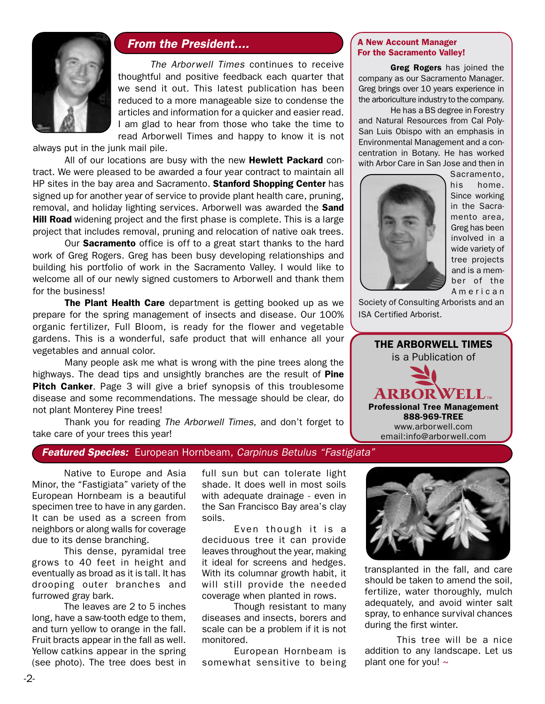

# From the President....

The Arborwell Times continues to receive thoughtful and positive feedback each quarter that we send it out. This latest publication has been reduced to a more manageable size to condense the articles and information for a quicker and easier read. I am glad to hear from those who take the time to read Arborwell Times and happy to know it is not

always put in the junk mail pile.

All of our locations are busy with the new Hewlett Packard contract. We were pleased to be awarded a four year contract to maintain all HP sites in the bay area and Sacramento. Stanford Shopping Center has signed up for another year of service to provide plant health care, pruning, removal, and holiday lighting services. Arborwell was awarded the **Sand Hill Road** widening project and the first phase is complete. This is a large project that includes removal, pruning and relocation of native oak trees.

Our Sacramento office is off to a great start thanks to the hard work of Greg Rogers. Greg has been busy developing relationships and building his portfolio of work in the Sacramento Valley. I would like to welcome all of our newly signed customers to Arborwell and thank them for the business!

The Plant Health Care department is getting booked up as we prepare for the spring management of insects and disease. Our 100% organic fertilizer, Full Bloom, is ready for the flower and vegetable gardens. This is a wonderful, safe product that will enhance all your vegetables and annual color.

Many people ask me what is wrong with the pine trees along the highways. The dead tips and unsightly branches are the result of Pine Pitch Canker. Page 3 will give a brief synopsis of this troublesome disease and some recommendations. The message should be clear, do not plant Monterey Pine trees!

Thank you for reading The Arborwell Times, and don't forget to take care of your trees this year!

# **Featured Species:** European Hornbeam, Carpinus Betulus "Fastigiata"

Native to Europe and Asia Minor, the "Fastigiata" variety of the European Hornbeam is a beautiful specimen tree to have in any garden. It can be used as a screen from neighbors or along walls for coverage due to its dense branching.

This dense, pyramidal tree grows to 40 feet in height and eventually as broad as it is tall. It has drooping outer branches and furrowed gray bark.

The leaves are 2 to 5 inches long, have a saw-tooth edge to them, and turn yellow to orange in the fall. Fruit bracts appear in the fall as well. Yellow catkins appear in the spring (see photo). The tree does best in full sun but can tolerate light shade. It does well in most soils with adequate drainage - even in the San Francisco Bay area's clay soils.

Even though it is a deciduous tree it can provide leaves throughout the year, making it ideal for screens and hedges. With its columnar growth habit, it will still provide the needed coverage when planted in rows.

Though resistant to many diseases and insects, borers and scale can be a problem if it is not monitored.

European Hornbeam is somewhat sensitive to being

# A New Account Manager For the Sacramento Valley!

Greg Rogers has joined the company as our Sacramento Manager. Greg brings over 10 years experience in the arboriculture industry to the company.

He has a BS degree in Forestry and Natural Resources from Cal Poly-San Luis Obispo with an emphasis in Environmental Management and a concentration in Botany. He has worked with Arbor Care in San Jose and then in



Sacramento, his home. Since working in the Sacramento area, Greg has been involved in a wide variety of tree projects and is a member of the American

Society of Consulting Arborists and an ISA Certified Arborist.





transplanted in the fall, and care should be taken to amend the soil, fertilize, water thoroughly, mulch adequately, and avoid winter salt spray, to enhance survival chances during the first winter.

This tree will be a nice addition to any landscape. Let us plant one for you!  $\sim$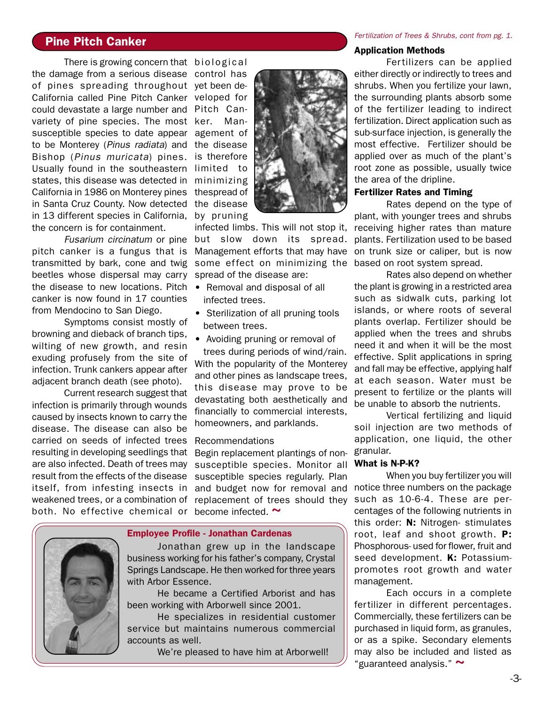# Pine Pitch Canker

There is growing concern that biological the damage from a serious disease control has of pines spreading throughout yet been de-California called Pine Pitch Canker veloped for could devastate a large number and Pitch Canvariety of pine species. The most susceptible species to date appear to be Monterey (Pinus radiata) and Bishop (Pinus muricata) pines. Usually found in the southeastern states, this disease was detected in California in 1986 on Monterey pines in Santa Cruz County. Now detected in 13 different species in California, the concern is for containment.

Fusarium circinatum or pine pitch canker is a fungus that is transmitted by bark, cone and twig beetles whose dispersal may carry the disease to new locations. Pitch canker is now found in 17 counties from Mendocino to San Diego.

Symptoms consist mostly of browning and dieback of branch tips, wilting of new growth, and resin exuding profusely from the site of infection. Trunk cankers appear after adjacent branch death (see photo).

Current research suggest that infection is primarily through wounds caused by insects known to carry the disease. The disease can also be carried on seeds of infected trees resulting in developing seedlings that are also infected. Death of trees may result from the effects of the disease itself, from infesting insects in weakened trees, or a combination of both. No effective chemical or become infected. ~

ker. Management of the disease is therefore limited to minimizing thespread of the disease by pruning



infected limbs. This will not stop it, but slow down its spread. Management efforts that may have some effect on minimizing the spread of the disease are:

- Removal and disposal of all infected trees.
- Sterilization of all pruning tools between trees.
- Avoiding pruning or removal of

 trees during periods of wind/rain. With the popularity of the Monterey and other pines as landscape trees, this disease may prove to be devastating both aesthetically and financially to commercial interests, homeowners, and parklands.

#### Recommendations

Begin replacement plantings of nonsusceptible species. Monitor all susceptible species regularly. Plan and budget now for removal and replacement of trees should they



### Employee Profile - Jonathan Cardenas

Jonathan grew up in the landscape business working for his father's company, Crystal Springs Landscape. He then worked for three years with Arbor Essence.

He became a Certified Arborist and has been working with Arborwell since 2001.

He specializes in residential customer service but maintains numerous commercial accounts as well.

We're pleased to have him at Arborwell!

#### Fertilization of Trees & Shrubs, cont from pg. 1.

#### Application Methods

Fertilizers can be applied either directly or indirectly to trees and shrubs. When you fertilize your lawn, the surrounding plants absorb some of the fertilizer leading to indirect fertilization. Direct application such as sub-surface injection, is generally the most effective. Fertilizer should be applied over as much of the plant's root zone as possible, usually twice the area of the dripline.

# Fertilizer Rates and Timing

Rates depend on the type of plant, with younger trees and shrubs receiving higher rates than mature plants. Fertilization used to be based on trunk size or caliper, but is now based on root system spread.

Rates also depend on whether the plant is growing in a restricted area such as sidwalk cuts, parking lot islands, or where roots of several plants overlap. Fertilizer should be applied when the trees and shrubs need it and when it will be the most effective. Split applications in spring and fall may be effective, applying half at each season. Water must be present to fertilize or the plants will be unable to absorb the nutrients.

Vertical fertilizing and liquid soil injection are two methods of application, one liquid, the other granular.

## What is N-P-K?

When you buy fertilizer you will notice three numbers on the package such as 10-6-4. These are percentages of the following nutrients in this order: **N:** Nitrogen- stimulates root, leaf and shoot growth. **P:** Phosphorous- used for flower, fruit and seed development. **K:** Potassiumpromotes root growth and water management.

Each occurs in a complete fertilizer in different percentages. Commercially, these fertilizers can be purchased in liquid form, as granules, or as a spike. Secondary elements may also be included and listed as "guaranteed analysis."  $\sim$